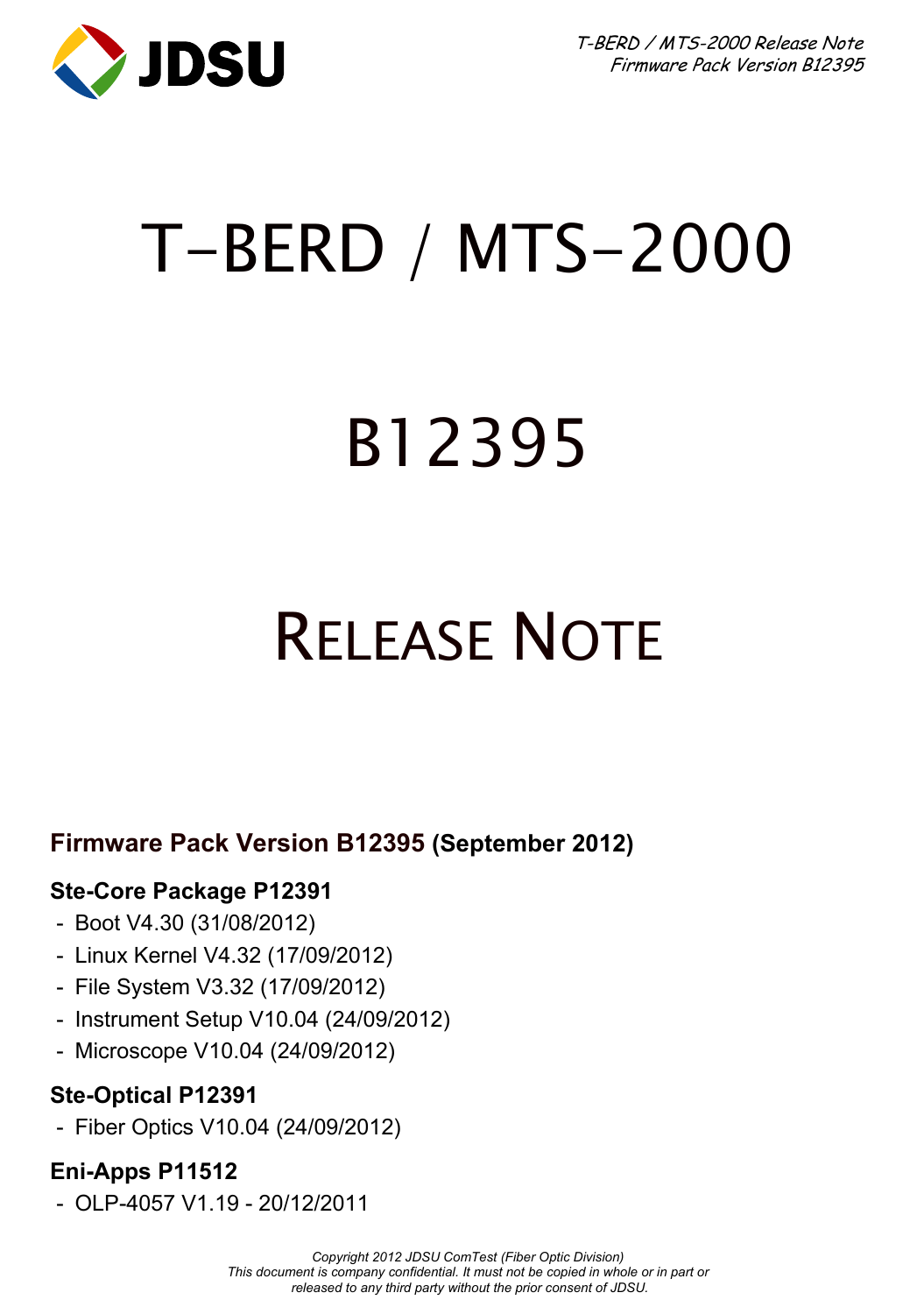

T-BERD / MTS-2000 Release Note Firmware Pack Version B12395

## T-BERD / MTS-2000

# B12395

## RELEASE NOTE

### **Firmware Pack Version B12395 (September 2012)**

#### **Ste-Core Package P12391**

- Boot V4.30 (31/08/2012)
- Linux Kernel V4.32 (17/09/2012)
- File System V3.32 (17/09/2012)
- Instrument Setup V10.04 (24/09/2012)
- Microscope V10.04 (24/09/2012)

#### **Ste-Optical P12391**

- Fiber Optics V10.04 (24/09/2012)

#### **Eni-Apps P11512**

- OLP-4057 V1.19 - 20/12/2011

*Copyright 2012 JDSU ComTest (Fiber Optic Division) This document is company confidential. It must not be copied in whole or in part or released to any third party without the prior consent of JDSU.*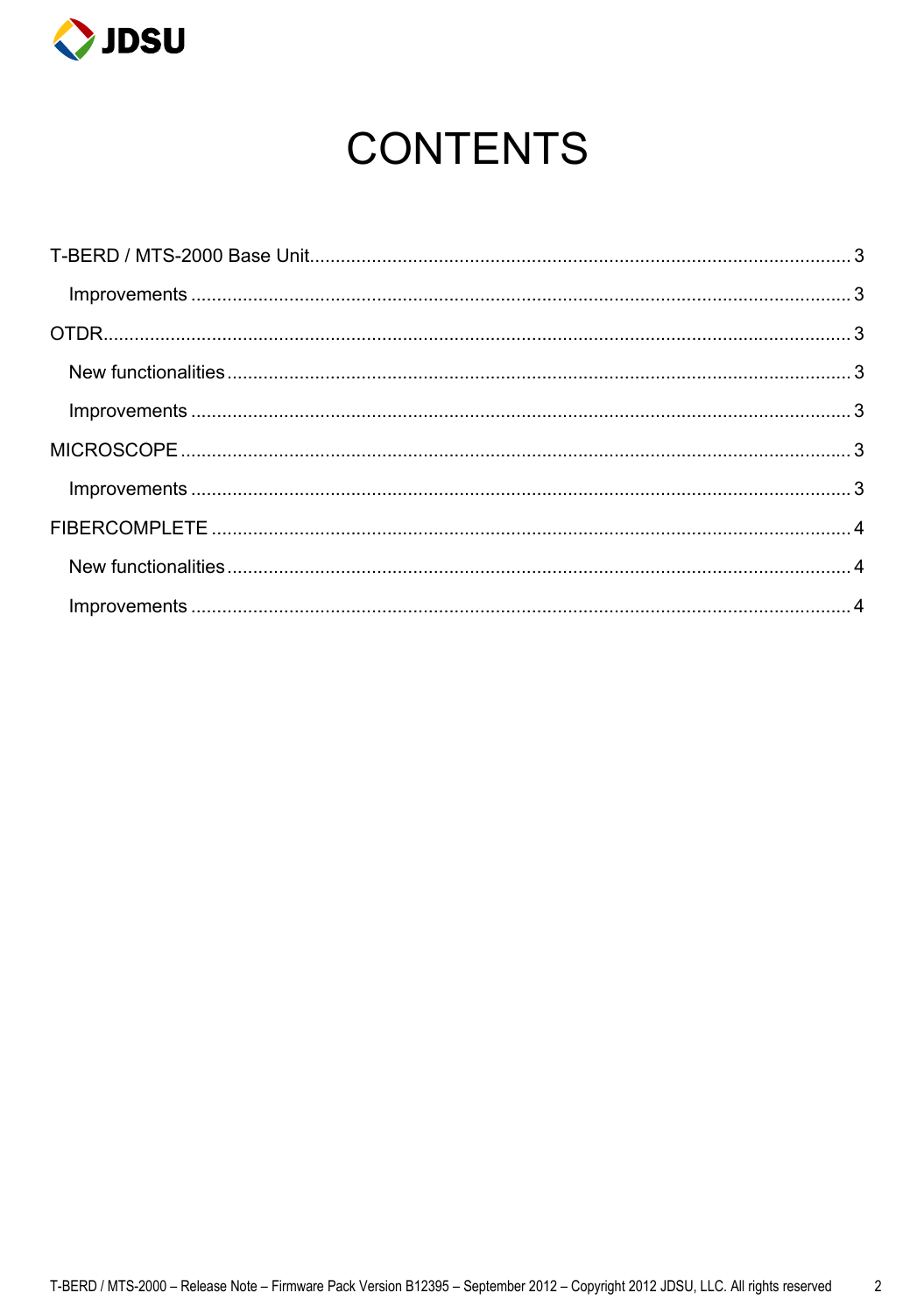

## **CONTENTS**

| $\small \textsf{Improvements} \textup{} \textup{} \textup{} \textup{} \textup{} \textup{} \textup{} \textup{} \textup{} \textup{} \textup{} \textup{} \textup{} \textup{} \textup{} \textup{} \textup{} \textup{} \textup{} \textup{} \textup{} \textup{} \textup{} \textup{} \textup{} \textup{} \textup{} \textup{} \textup{} \textup{} \textup{} \textup{} \textup{} \textup{} \textup{} \$ |  |
|------------------------------------------------------------------------------------------------------------------------------------------------------------------------------------------------------------------------------------------------------------------------------------------------------------------------------------------------------------------------------------------------|--|
|                                                                                                                                                                                                                                                                                                                                                                                                |  |
|                                                                                                                                                                                                                                                                                                                                                                                                |  |
|                                                                                                                                                                                                                                                                                                                                                                                                |  |
|                                                                                                                                                                                                                                                                                                                                                                                                |  |
|                                                                                                                                                                                                                                                                                                                                                                                                |  |
|                                                                                                                                                                                                                                                                                                                                                                                                |  |
|                                                                                                                                                                                                                                                                                                                                                                                                |  |
|                                                                                                                                                                                                                                                                                                                                                                                                |  |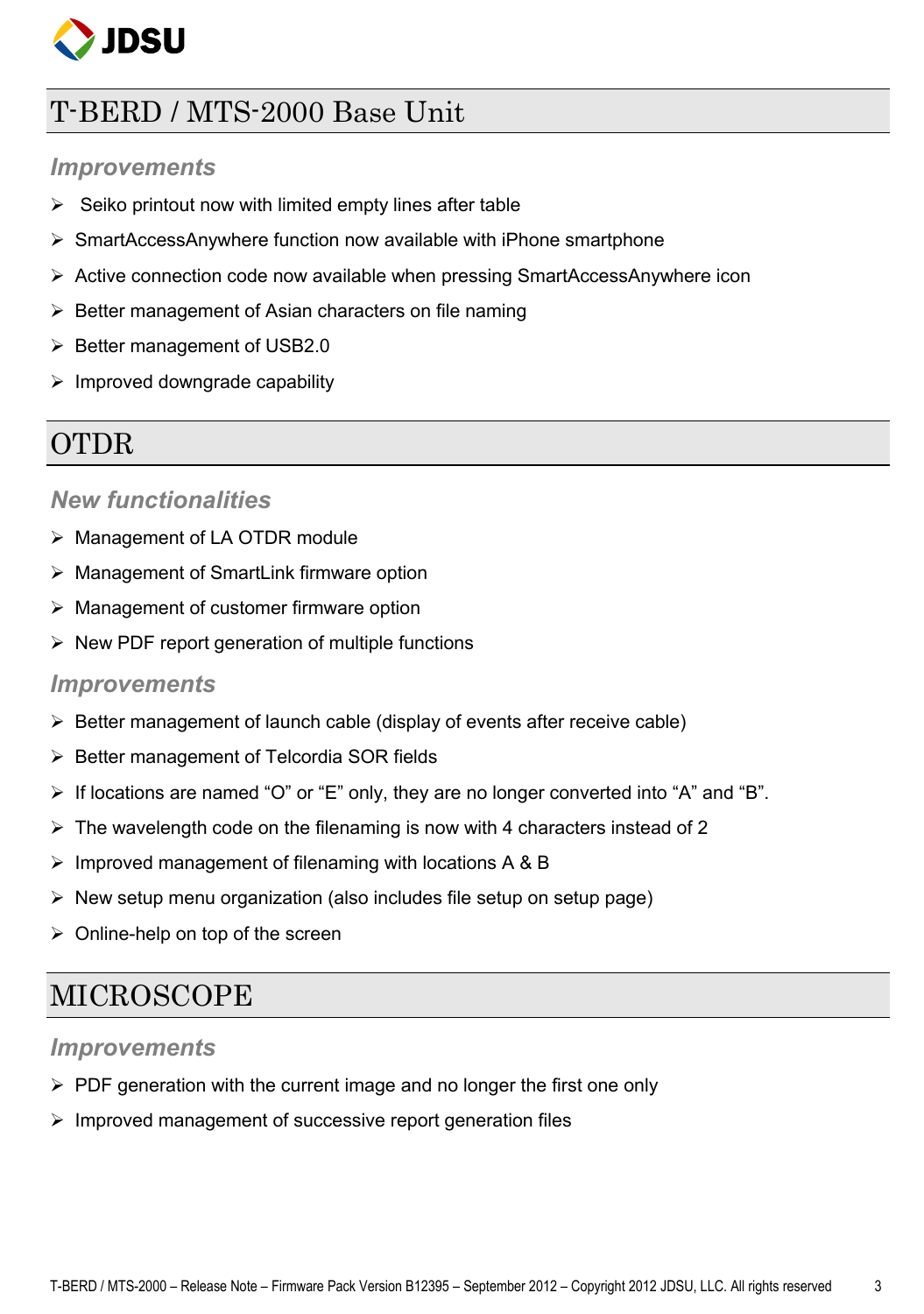

### <span id="page-2-0"></span>T-BERD / MTS-2000 Base Unit

#### <span id="page-2-1"></span>*Improvements*

- $\triangleright$  Seiko printout now with limited empty lines after table
- $\triangleright$  SmartAccessAnywhere function now available with iPhone smartphone
- $\triangleright$  Active connection code now available when pressing SmartAccessAnywhere icon
- $\triangleright$  Better management of Asian characters on file naming
- $\triangleright$  Better management of USB2.0
- $\triangleright$  Improved downgrade capability

## <span id="page-2-2"></span>OTDR

#### <span id="page-2-3"></span>*New functionalities*

- > Management of LA OTDR module
- Management of SmartLink firmware option
- $\triangleright$  Management of customer firmware option
- $\triangleright$  New PDF report generation of multiple functions

#### <span id="page-2-4"></span>*Improvements*

- $\triangleright$  Better management of launch cable (display of events after receive cable)
- $\triangleright$  Better management of Telcordia SOR fields
- $\triangleright$  If locations are named "O" or "E" only, they are no longer converted into "A" and "B".
- $\triangleright$  The wavelength code on the filenaming is now with 4 characters instead of 2
- $\triangleright$  Improved management of filenaming with locations A & B
- $\triangleright$  New setup menu organization (also includes file setup on setup page)
- $\triangleright$  Online-help on top of the screen

### <span id="page-2-5"></span>MICROSCOPE

#### <span id="page-2-6"></span>*Improvements*

- $\triangleright$  PDF generation with the current image and no longer the first one only
- $\triangleright$  Improved management of successive report generation files